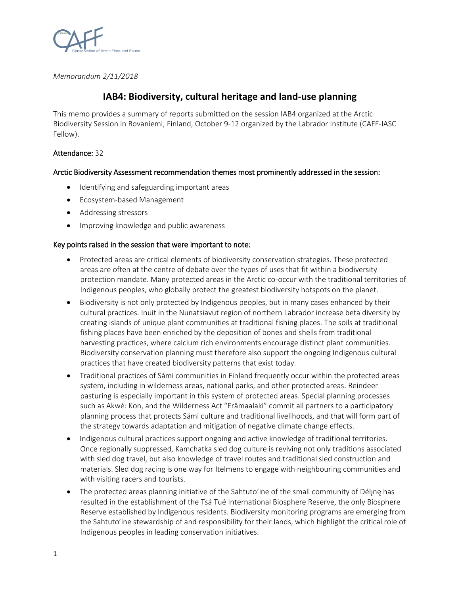

*Memorandum 2/11/2018*

# **IAB4: Biodiversity, cultural heritage and land-use planning**

This memo provides a summary of reports submitted on the session IAB4 organized at the Arctic Biodiversity Session in Rovaniemi, Finland, October 9-12 organized by the Labrador Institute (CAFF-IASC Fellow).

# Attendance: 32

# Arctic Biodiversity Assessment recommendation themes most prominently addressed in the session:

- Identifying and safeguarding important areas
- Ecosystem-based Management
- Addressing stressors
- Improving knowledge and public awareness

### Key points raised in the session that were important to note:

- Protected areas are critical elements of biodiversity conservation strategies. These protected areas are often at the centre of debate over the types of uses that fit within a biodiversity protection mandate. Many protected areas in the Arctic co-occur with the traditional territories of Indigenous peoples, who globally protect the greatest biodiversity hotspots on the planet.
- Biodiversity is not only protected by Indigenous peoples, but in many cases enhanced by their cultural practices. Inuit in the Nunatsiavut region of northern Labrador increase beta diversity by creating islands of unique plant communities at traditional fishing places. The soils at traditional fishing places have been enriched by the deposition of bones and shells from traditional harvesting practices, where calcium rich environments encourage distinct plant communities. Biodiversity conservation planning must therefore also support the ongoing Indigenous cultural practices that have created biodiversity patterns that exist today.
- Traditional practices of Sámi communities in Finland frequently occur within the protected areas system, including in wilderness areas, national parks, and other protected areas. Reindeer pasturing is especially important in this system of protected areas. Special planning processes such as Akwé: Kon, and the Wilderness Act "Erämaalaki" commit all partners to a participatory planning process that protects Sámi culture and traditional livelihoods, and that will form part of the strategy towards adaptation and mitigation of negative climate change effects.
- Indigenous cultural practices support ongoing and active knowledge of traditional territories. Once regionally suppressed, Kamchatka sled dog culture is reviving not only traditions associated with sled dog travel, but also knowledge of travel routes and traditional sled construction and materials. Sled dog racing is one way for Itelmens to engage with neighbouring communities and with visiting racers and tourists.
- The protected areas planning initiative of the Sahtuto'ine of the small community of Délyne has resulted in the establishment of the Tsá Tué International Biosphere Reserve, the only Biosphere Reserve established by Indigenous residents. Biodiversity monitoring programs are emerging from the Sahtuto'ine stewardship of and responsibility for their lands, which highlight the critical role of Indigenous peoples in leading conservation initiatives.